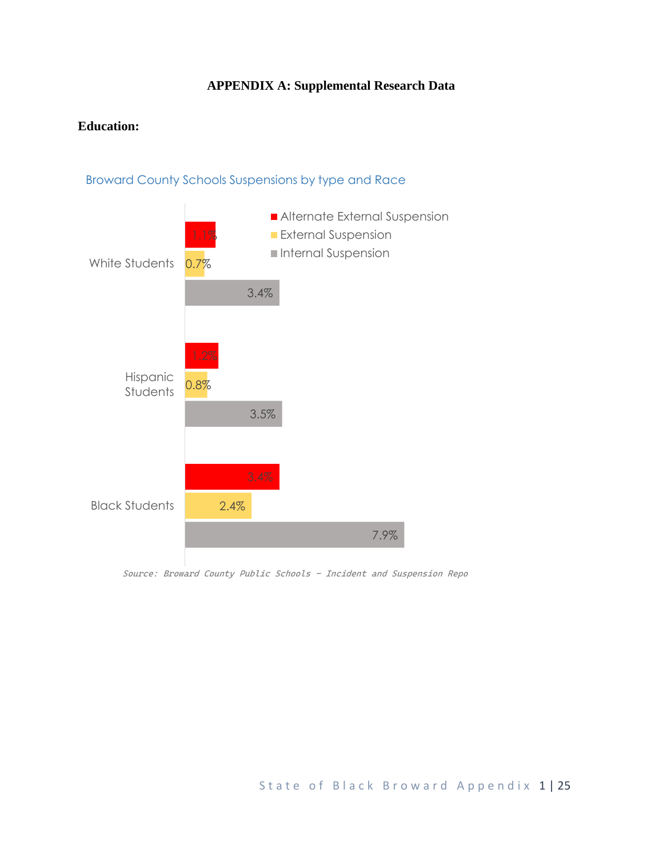## **APPENDIX A: Supplemental Research Data**

## **Education:**



Broward County Schools Suspensions by type and Race

*Source: Broward County Public Schools - Incident and Suspension Repo*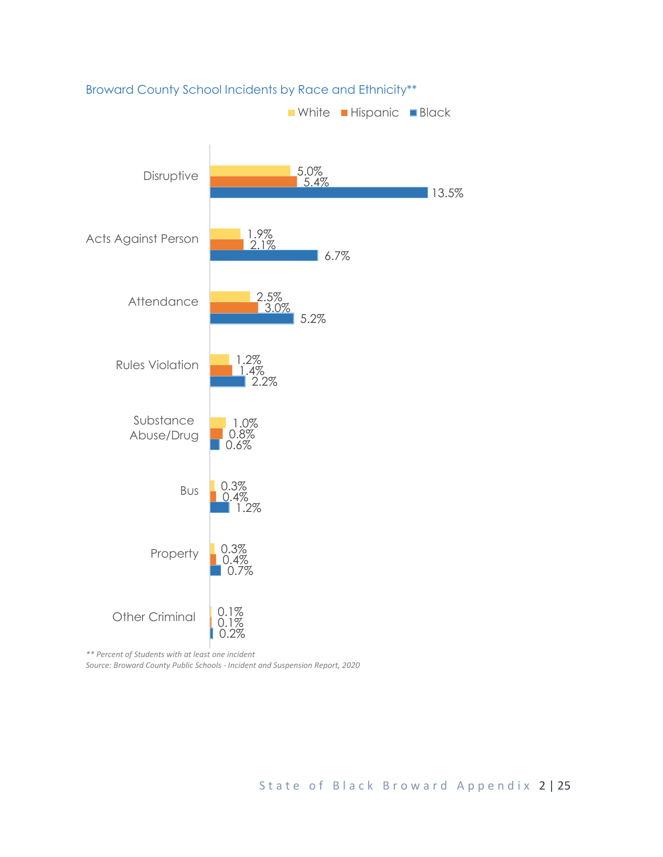

Broward County School Incidents by Race and Ethnicity\*\*

*\*\* Percent of Students with at least one incident Source: Broward County Public Schools - Incident and Suspension Report, 2020*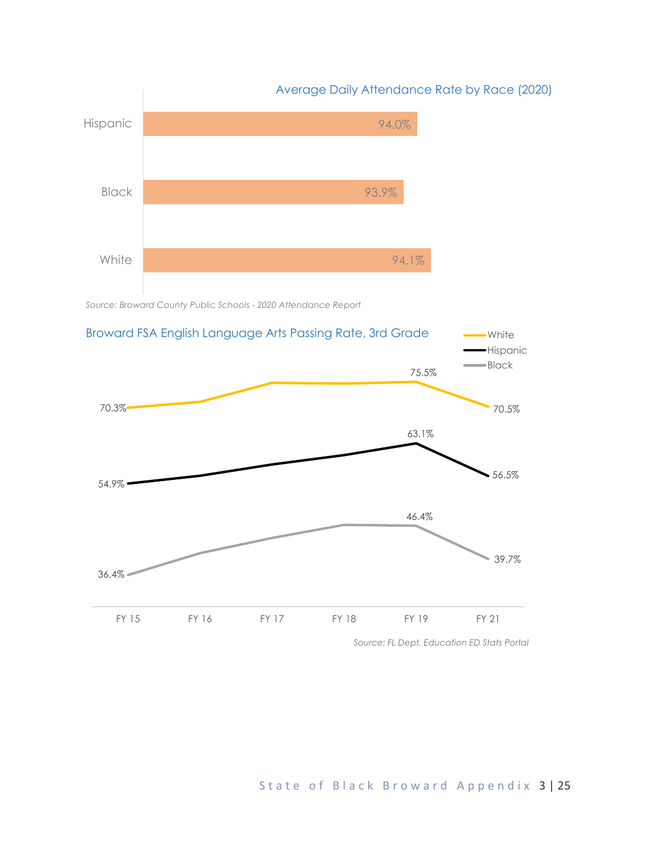

*Source: Broward County Public Schools - 2020 Attendance Report*

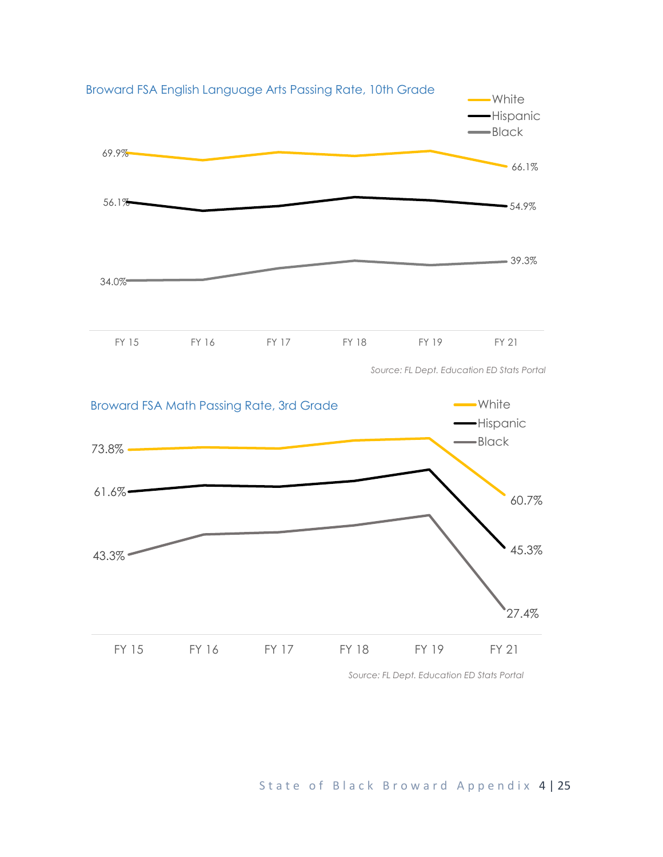



*Source: FL Dept. Education ED Stats Portal*

## State of Black Broward Appendix 4 | 25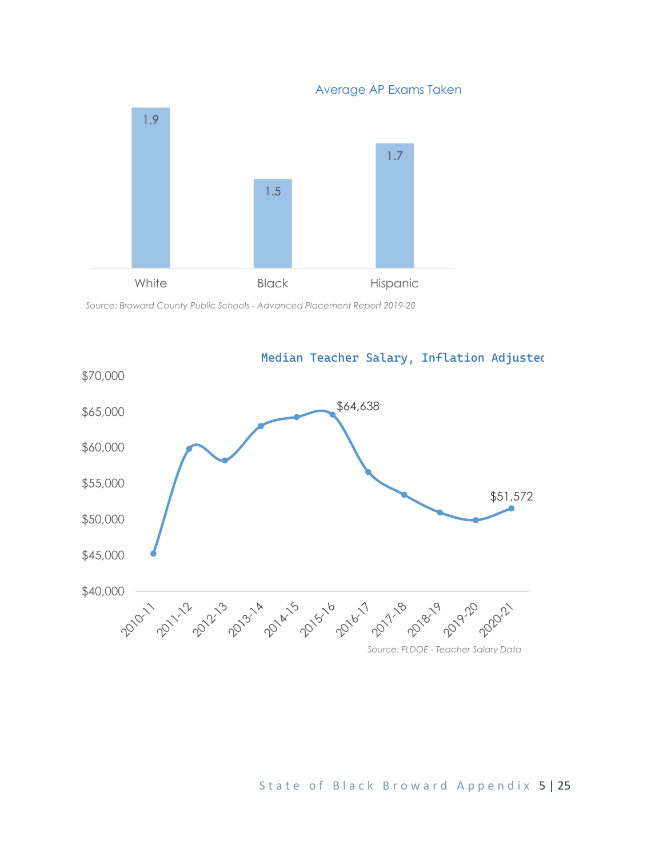Average AP Exams Taken



*Source: Broward County Public Schools - Advanced Placement Report 2019-20*



#### State of Black Broward Appendix 5 | 25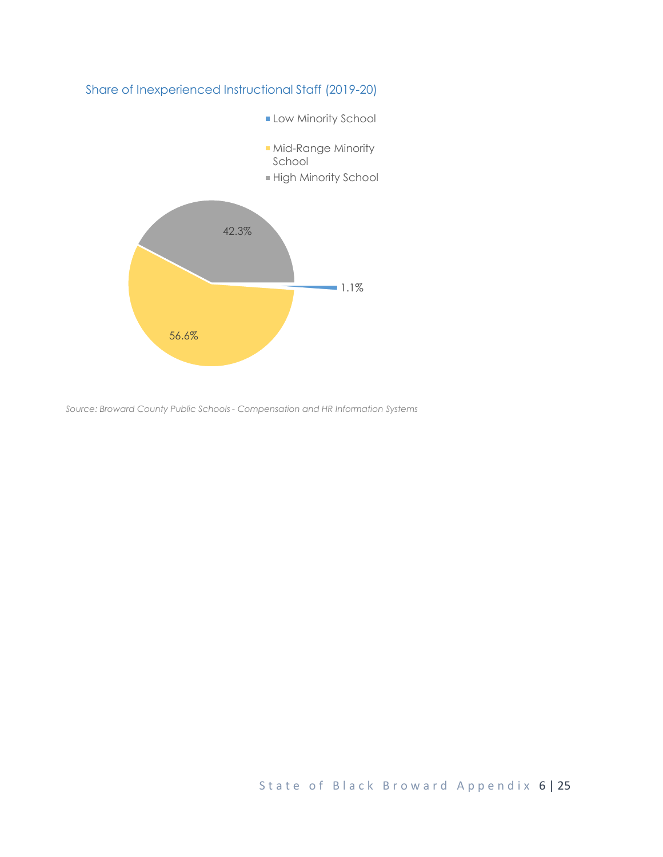



*Source: Broward County Public Schools - Compensation and HR Information Systems*

State of Black Broward Appendix 6 | 25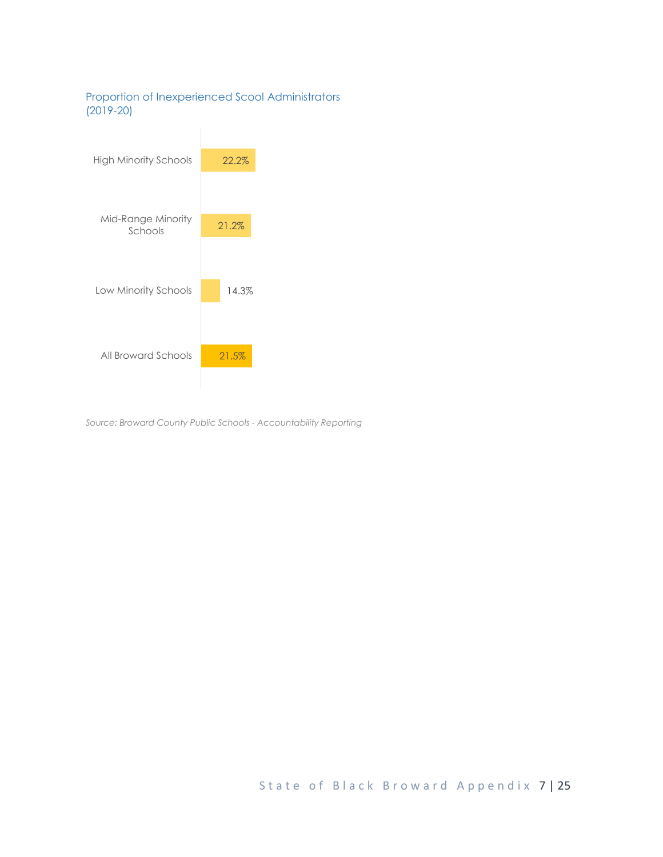#### Proportion of Inexperienced Scool Administrators (2019-20)



*Source: Broward County Public Schools - Accountability Reporting*

State of Black Broward Appendix 7 | 25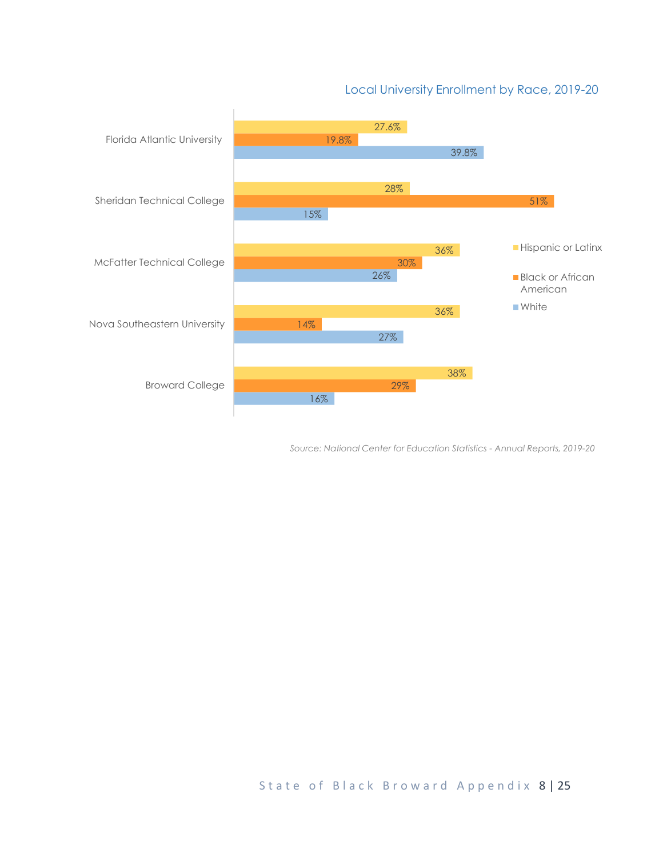### Local University Enrollment by Race, 2019-20



*Source: National Center for Education Statistics - Annual Reports, 2019-20*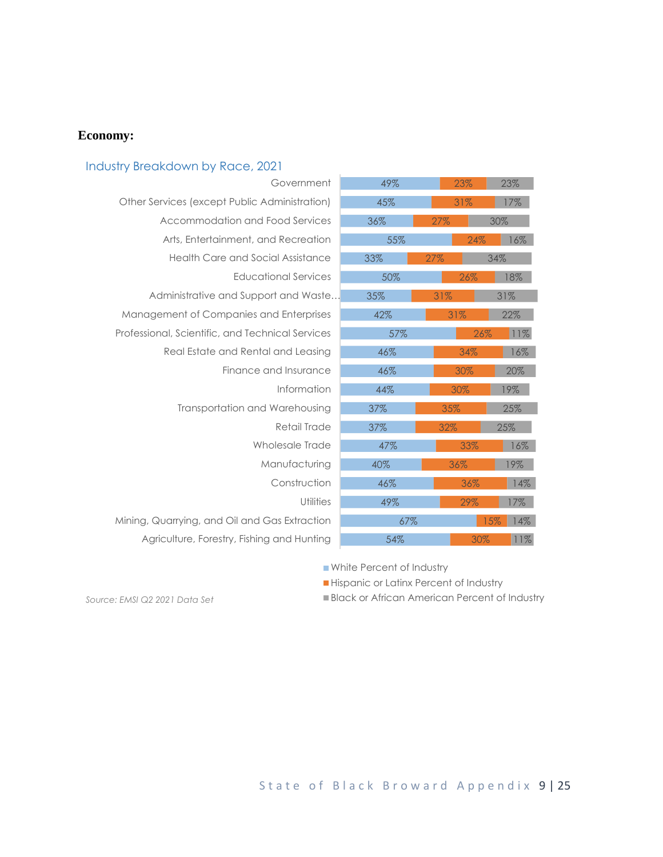#### **Economy:**

#### 54% 67% 49% 46% 40% 47% 37% 37% 44% 46% 46% 57% 42% 35% 50% 33% 55% 36% 45% 49% 30% 15% 29%  $36<sup>o</sup>$ 36% 33% 32% 35% 30% 30% 34% 26% 31% 31% 26% 27% 24% 27% 31% 23% 11% 14% 17% 14% 19% 16% 25% 25% 19% 20% 16% 11% 22% 31% 18% 34% 16% 30% 17% 23% Agriculture, Forestry, Fishing and Hunting Mining, Quarrying, and Oil and Gas Extraction **Utilities** Construction Manufacturing Wholesale Trade Retail Trade Transportation and Warehousing Information Finance and Insurance Real Estate and Rental and Leasing Professional, Scientific, and Technical Services Management of Companies and Enterprises Administrative and Support and Waste… Educational Services Health Care and Social Assistance Arts, Entertainment, and Recreation Accommodation and Food Services Other Services (except Public Administration) Government Industry Breakdown by Race, 2021

White Percent of Industry

Hispanic or Latinx Percent of Industry

**Black or African American Percent of Industry** 

*Source: EMSI Q2 2021 Data Set*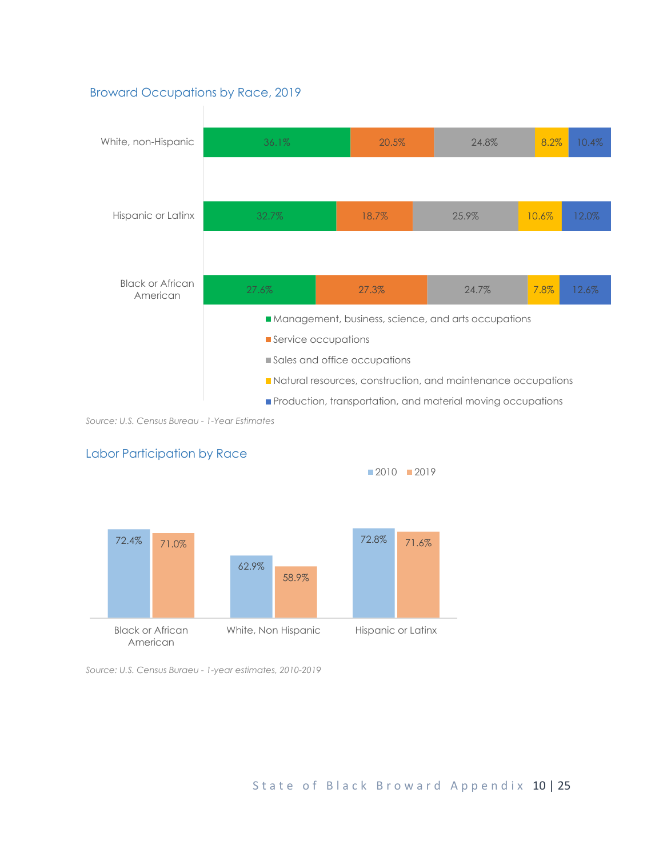#### Broward Occupations by Race, 2019



*Source: U.S. Census Bureau - 1-Year Estimates*



Labor Participation by Race

*Source: U.S. Census Buraeu - 1-year estimates, 2010-2019*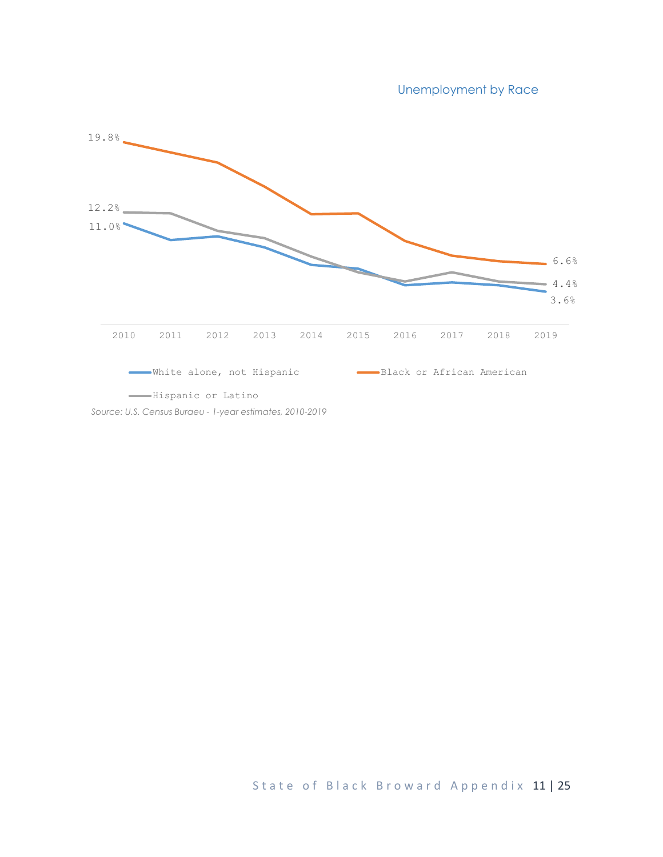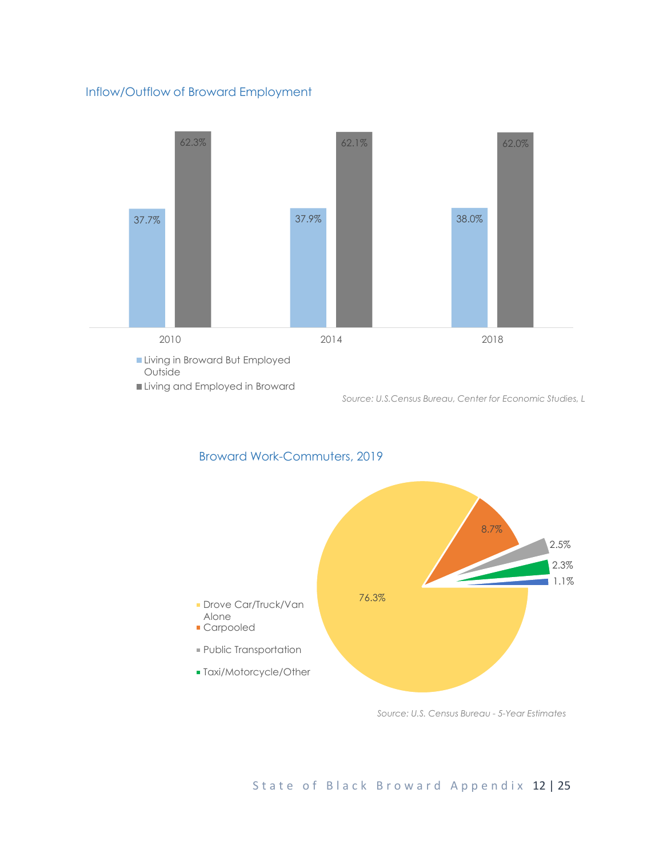#### Inflow/Outflow of Broward Employment



```
Source: U.S.Census Bureau, Center for Economic Studies, L
```


#### Broward Work-Commuters, 2019

*Source: U.S. Census Bureau - 5-Year Estimates*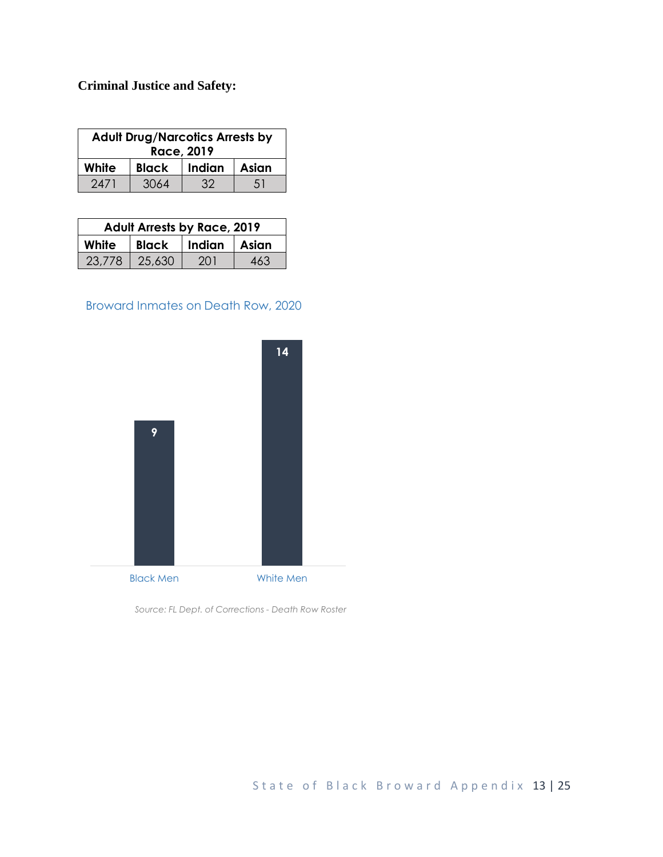# **Criminal Justice and Safety:**

| <b>Adult Drug/Narcotics Arrests by</b><br>Race, 2019 |              |        |       |  |  |
|------------------------------------------------------|--------------|--------|-------|--|--|
| White                                                | <b>Black</b> | Indian | Asian |  |  |
| 2471                                                 | 3064         | 32     | 51    |  |  |

| <b>Adult Arrests by Race, 2019</b> |        |                    |     |  |  |
|------------------------------------|--------|--------------------|-----|--|--|
| White                              |        | Black Indian Asian |     |  |  |
| 23,778                             | 25,630 | -201               | 463 |  |  |

# Broward Inmates on Death Row, 2020



*Source: FL Dept. of Corrections - Death Row Roster*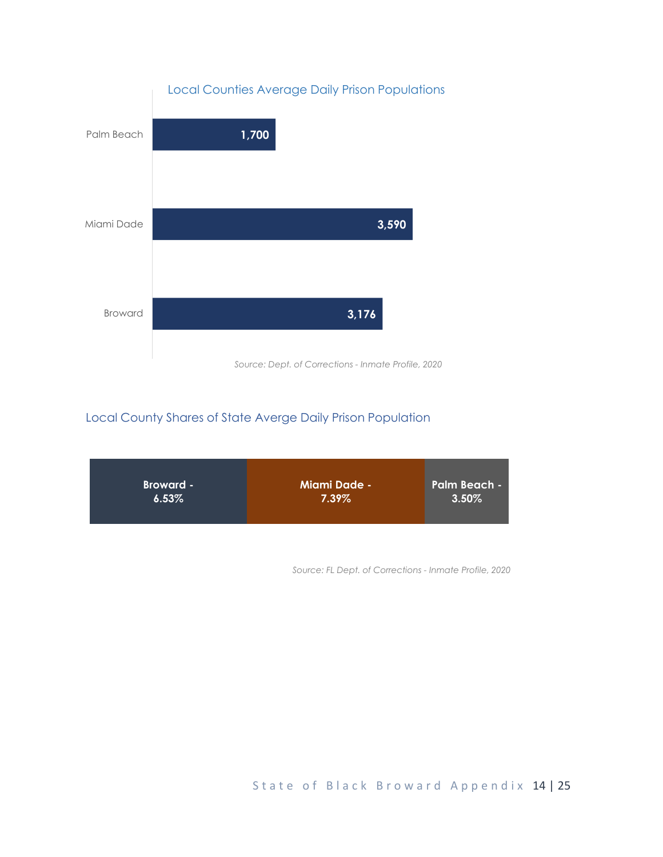

## Local County Shares of State Averge Daily Prison Population



*Source: FL Dept. of Corrections - Inmate Profile, 2020*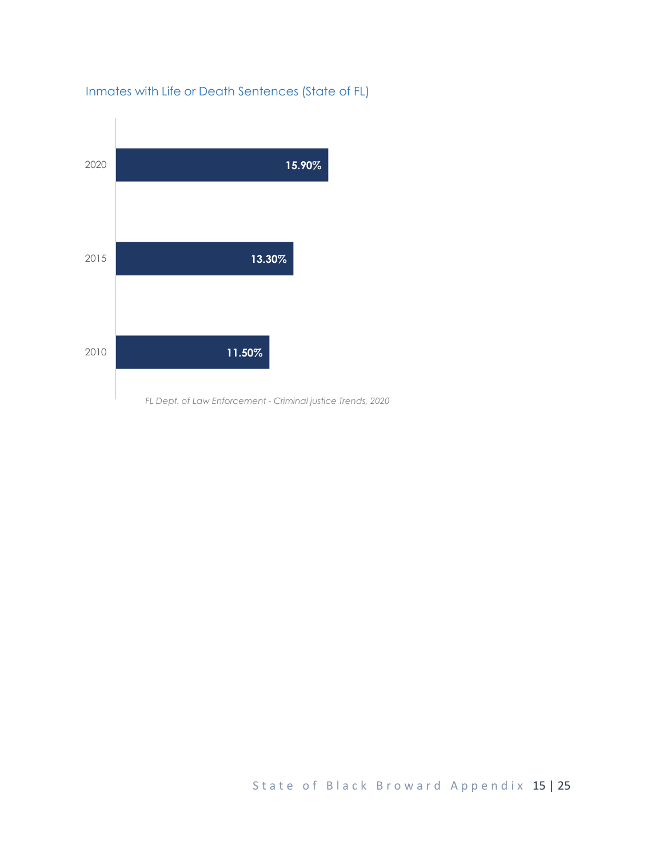

# Inmates with Life or Death Sentences (State of FL)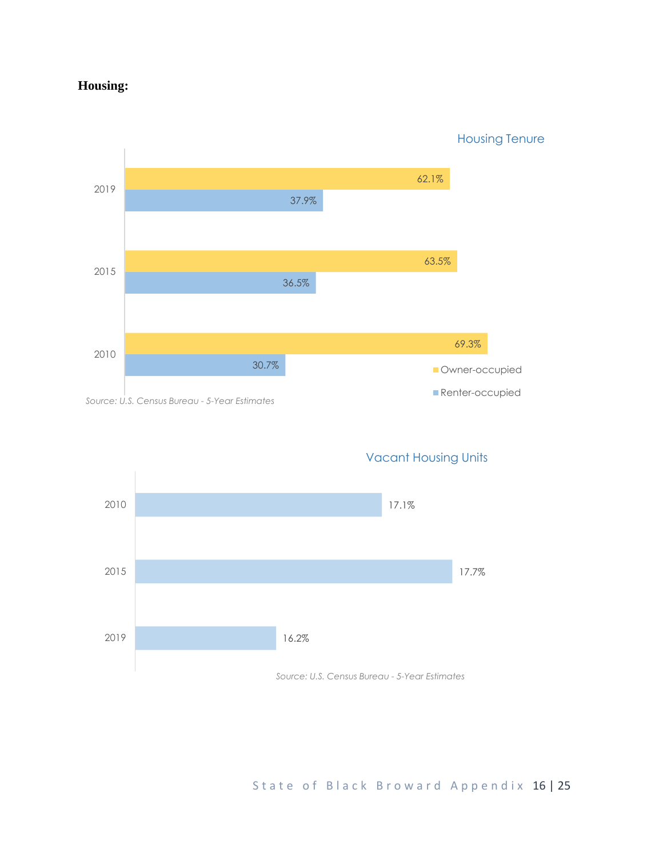# **Housing:**

30.7% 36.5% 37.9% 69.3% 63.5% 62.1% 2010 2015 2019 **Owner-occupied Renter-occupied** Housing Tenure

*Source: U.S. Census Bureau - 5-Year Estimates*



Vacant Housing Units

State of Black Broward Appendix 16 | 25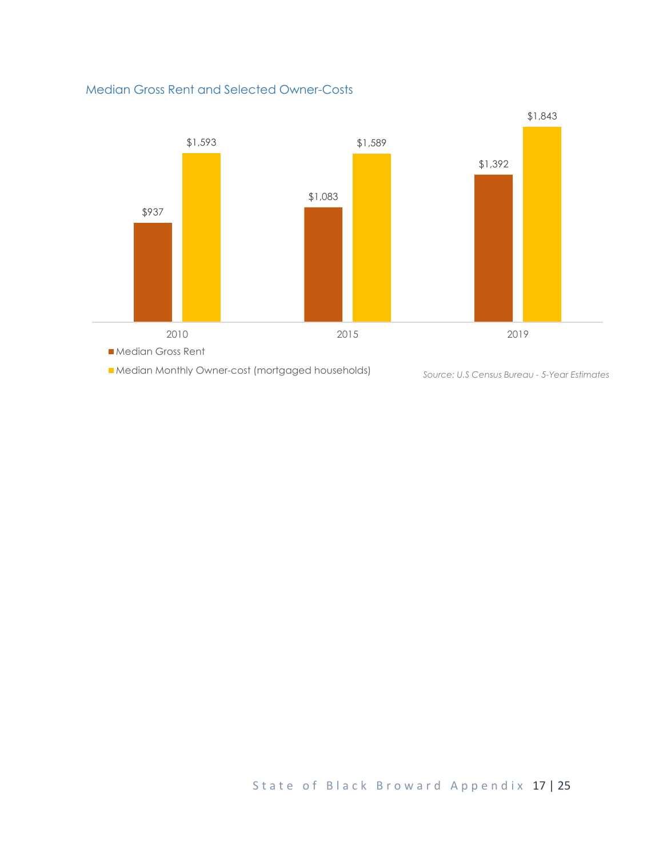#### Median Gross Rent and Selected Owner-Costs



State of Black Broward Appendix 17 | 25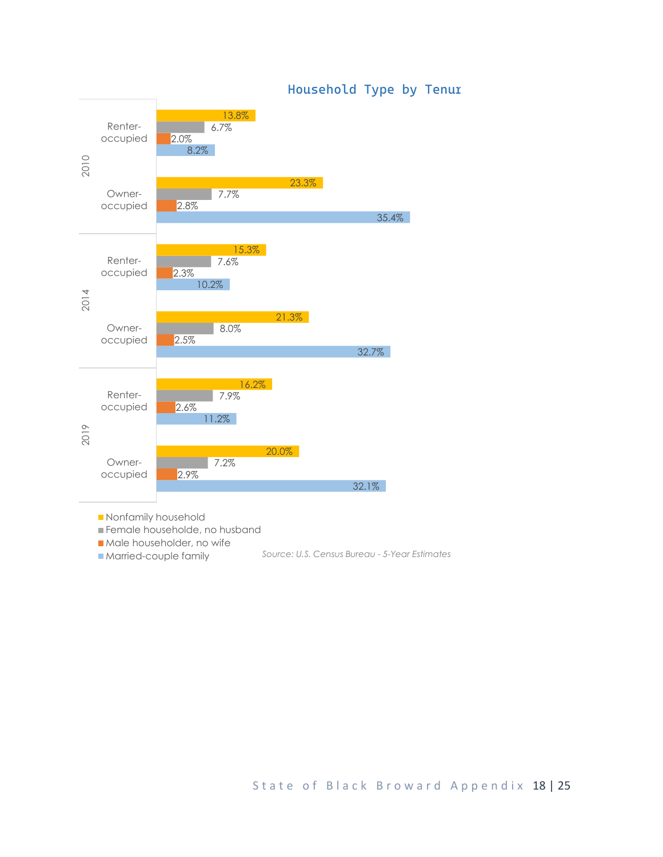

### *Household Type by Tenure*

**Nonfamily household** 

Female householde, no husband

Male householder, no wife

**Married-couple family** *Source: U.S. Census Bureau - 5-Year Estimates*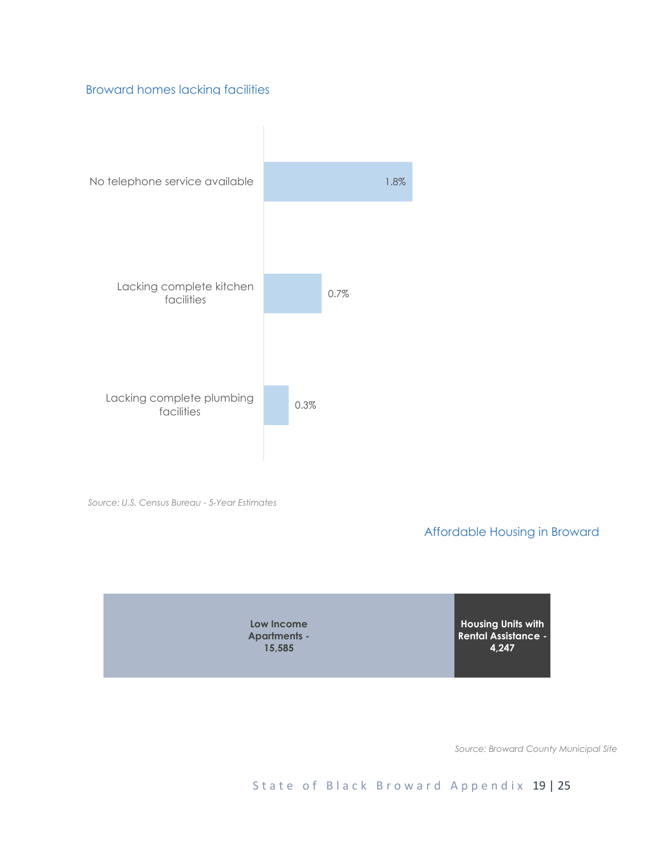#### Broward homes lacking facilities



*Source: U.S. Census Bureau - 5-Year Estimates*

Affordable Housing in Broward



*Source: Broward County Municipal Site*

State of Black Broward Appendix 19 | 25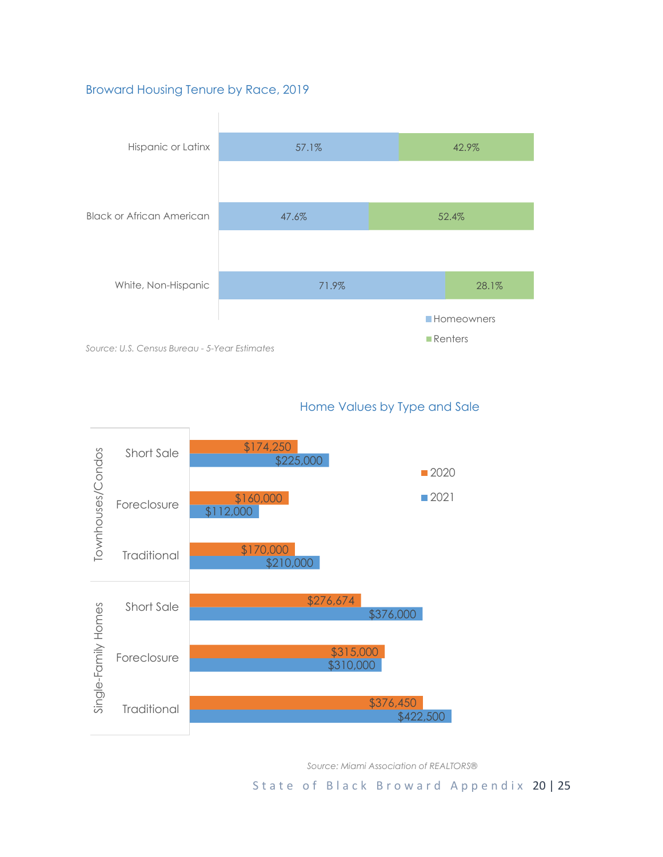#### Broward Housing Tenure by Race, 2019



#### Home Values by Type and Sale



*Source: Miami Association of REALTORS®*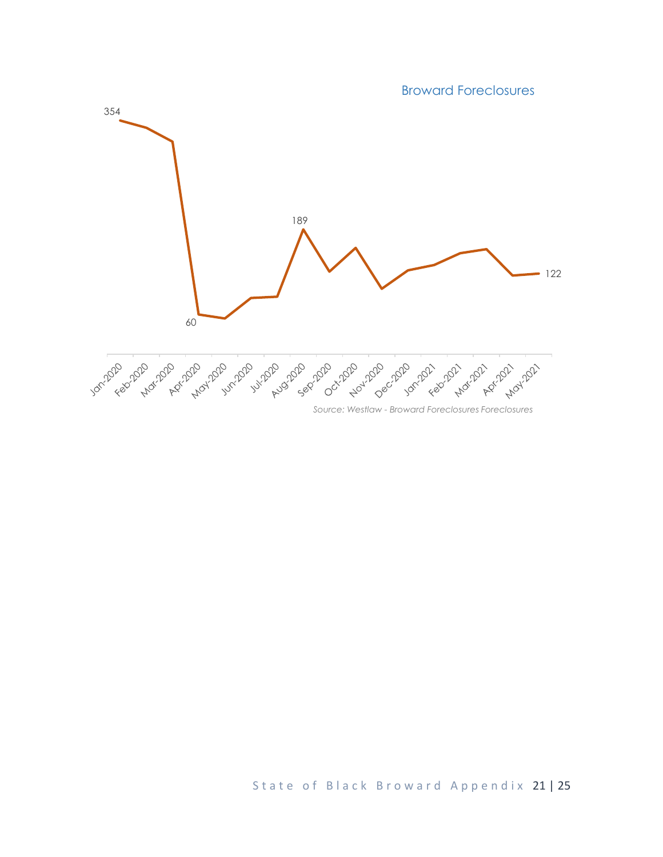Broward Foreclosures

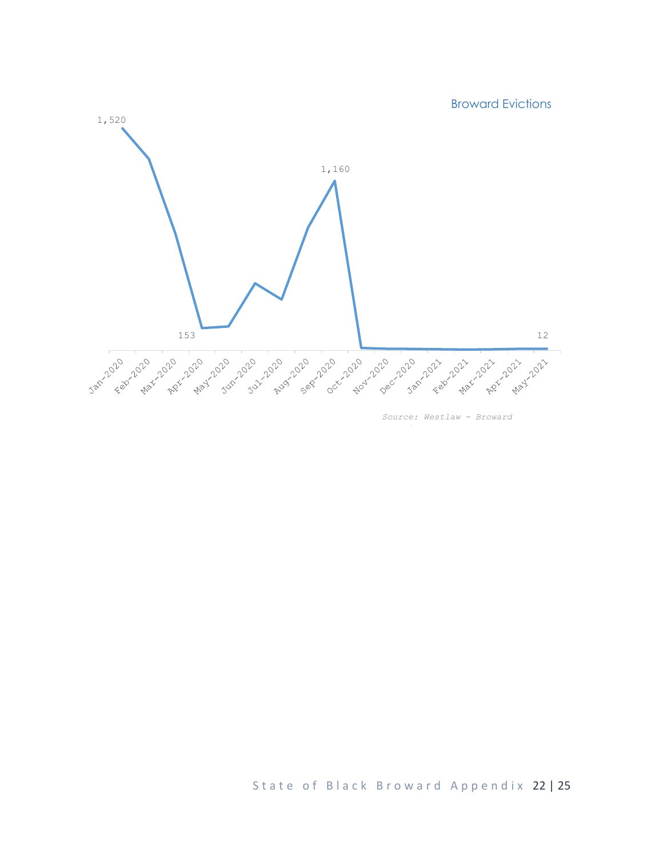

*Source: Westlaw - Broward* 

*Foreclosures*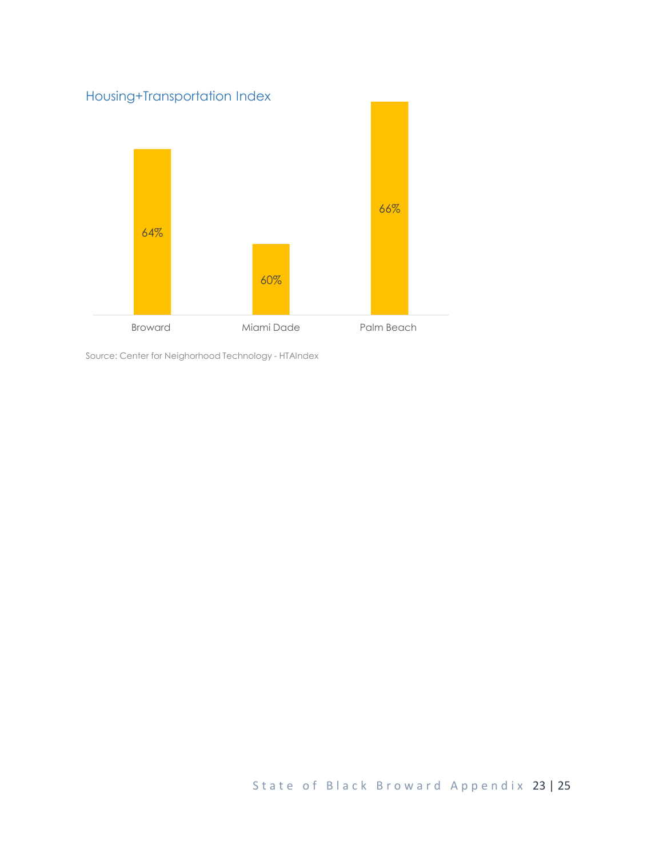

Source: Center for Neighorhood Technology - HTAIndex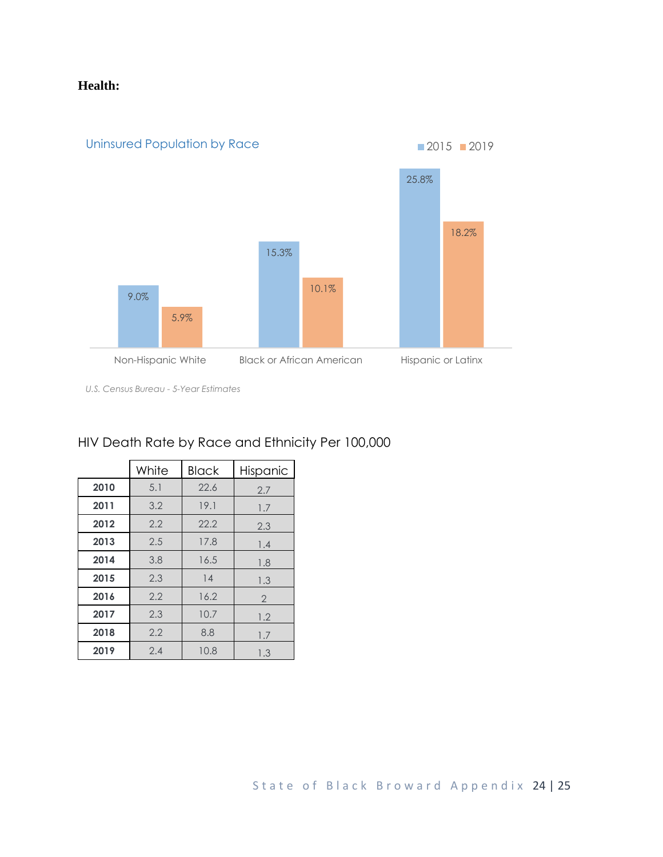# **Health:**



*U.S. Census Bureau - 5-Year Estimates*

# HIV Death Rate by Race and Ethnicity Per 100,000

|      | White | <b>Black</b> | Hispanic       |
|------|-------|--------------|----------------|
| 2010 | 5.1   | 22.6         | 2.7            |
| 2011 | 3.2   | 19.1         | 1.7            |
| 2012 | 2.2   | 22.2         | 2.3            |
| 2013 | 2.5   | 17.8         | 1.4            |
| 2014 | 3.8   | 16.5         | 1.8            |
| 2015 | 2.3   | 14           | 1.3            |
| 2016 | 2.2   | 16.2         | $\overline{2}$ |
| 2017 | 2.3   | 10.7         | 1.2            |
| 2018 | 2.2   | 8.8          | 1.7            |
| 2019 | 2.4   | 10.8         | 1.3            |